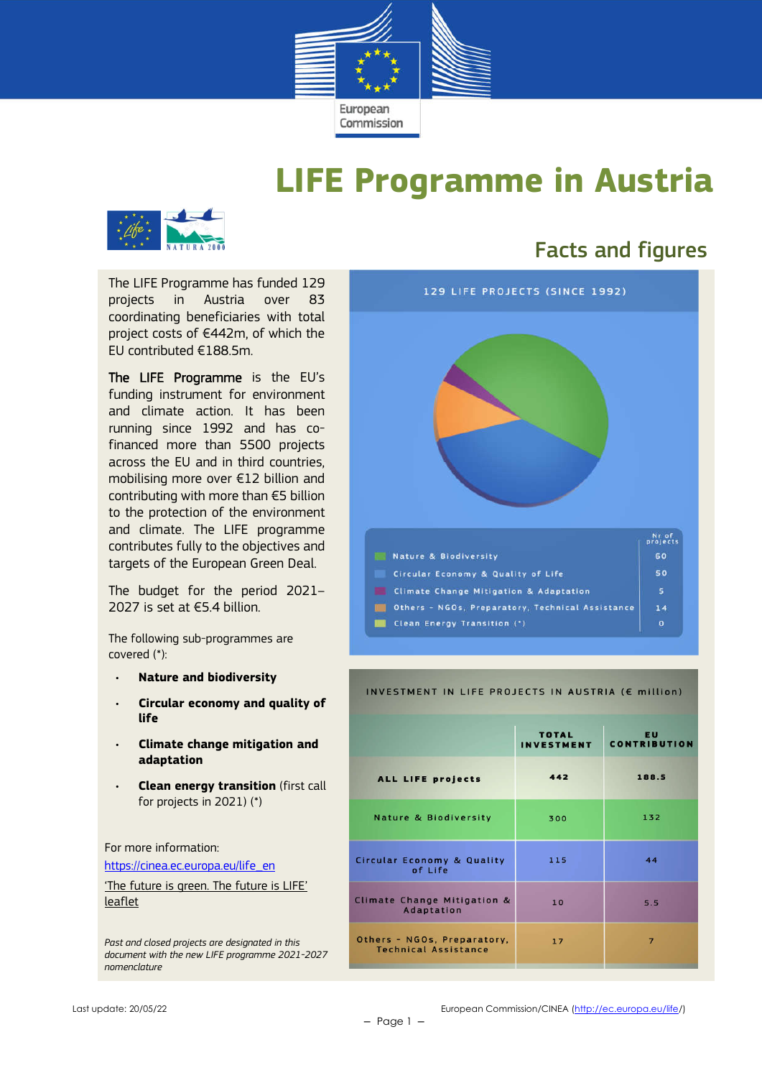

## **LIFE Programme in Austria**



The LIFE Programme has funded 129 projects in Austria over 83 coordinating beneficiaries with total project costs of €442m, of which the EU contributed €188.5m.

The LIFE Programme is the EU's funding instrument for environment and climate action. It has been running since 1992 and has cofinanced more than 5500 projects across the EU and in third countries, mobilising more over €12 billion and contributing with more than €5 billion to the protection of the environment and climate. The LIFE programme contributes fully to the objectives and targets of the European Green Deal.

The budget for the period 2021– 2027 is set at €5.4 billion.

The following sub-programmes are covered (\*):

- **Nature and biodiversity**
- **Circular economy and quality of life**
- **Climate change mitigation and adaptation**
- **Clean energy transition** (first call for projects in 2021) (\*)

For more information:

https://cinea.ec.europa.eu/life\_en

'The future is green. The future is LIFE' leaflet

*Past and closed projects are designated in this document with the new LIFE programme 2021-2027 nomenclature*

## Facts and figures



#### INVESTMENT IN LIFE PROJECTS IN AUSTRIA (E million)

|                                                            | <b>TOTAL</b>      | <b>EU</b>           |  |
|------------------------------------------------------------|-------------------|---------------------|--|
|                                                            | <b>INVESTMENT</b> | <b>CONTRIBUTION</b> |  |
| <b>ALL LIFE projects</b>                                   | 442               | 188.5               |  |
| Nature & Biodiversity                                      | 300               | 132                 |  |
| <b>Circular Economy &amp; Quality</b><br>of Life           | 115               | 44                  |  |
| Climate Change Mitigation &<br>Adaptation                  | 10                | 5.5                 |  |
| Others - NGOs, Preparatory,<br><b>Technical Assistance</b> | 17                | $\overline{7}$      |  |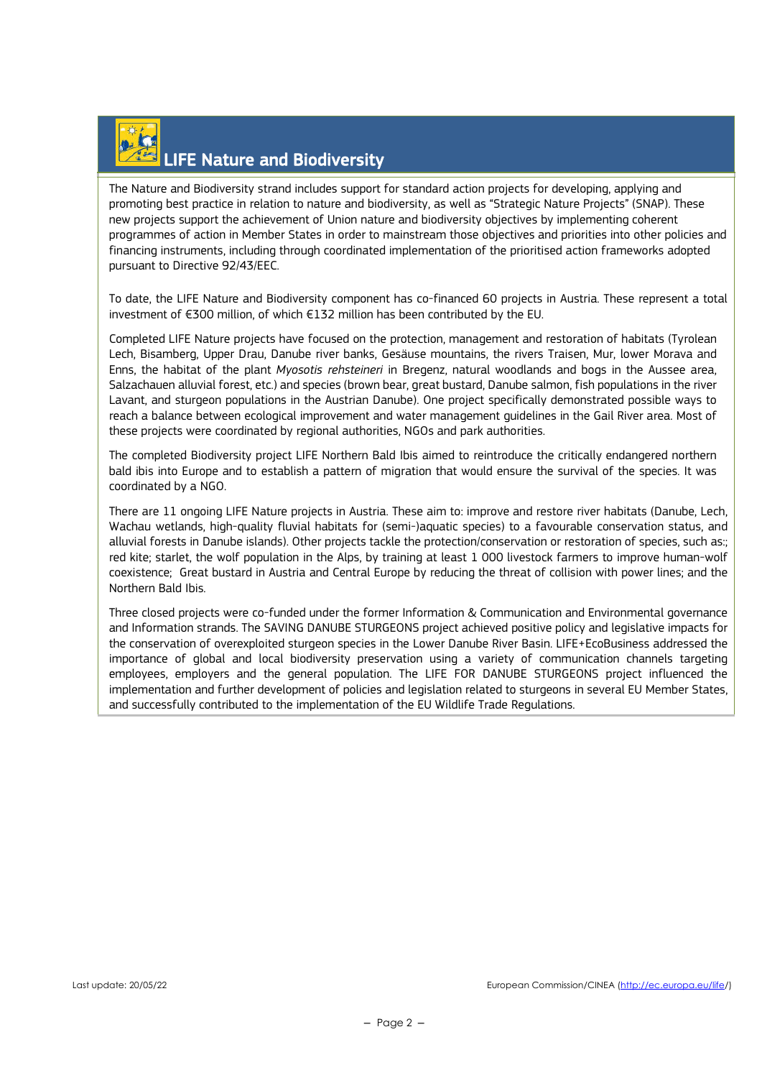## LIFE Nature and Biodiversity

The Nature and Biodiversity strand includes support for standard action projects for developing, applying and promoting best practice in relation to nature and biodiversity, as well as "Strategic Nature Projects" (SNAP). These new projects support the achievement of Union nature and biodiversity objectives by implementing coherent programmes of action in Member States in order to mainstream those objectives and priorities into other policies and financing instruments, including through coordinated implementation of the prioritised action frameworks adopted pursuant to Directive 92/43/EEC.

To date, the LIFE Nature and Biodiversity component has co-financed 60 projects in Austria. These represent a total investment of €300 million, of which €132 million has been contributed by the EU.

Completed LIFE Nature projects have focused on the protection, management and restoration of habitats (Tyrolean Lech, Bisamberg, Upper Drau, Danube river banks, Gesäuse mountains, the rivers Traisen, Mur, lower Morava and Enns, the habitat of the plant *Myosotis rehsteineri* in Bregenz, natural woodlands and bogs in the Aussee area, Salzachauen alluvial forest, etc.) and species (brown bear, great bustard, Danube salmon, fish populations in the river Lavant, and sturgeon populations in the Austrian Danube). One project specifically demonstrated possible ways to reach a balance between ecological improvement and water management guidelines in the Gail River area. Most of these projects were coordinated by regional authorities, NGOs and park authorities.

The completed Biodiversity project LIFE Northern Bald Ibis aimed to reintroduce the critically endangered northern bald ibis into Europe and to establish a pattern of migration that would ensure the survival of the species. It was coordinated by a NGO.

There are 11 ongoing LIFE Nature projects in Austria. These aim to: improve and restore river habitats (Danube, Lech, Wachau wetlands, high-quality fluvial habitats for (semi-)aquatic species) to a favourable conservation status, and alluvial forests in Danube islands). Other projects tackle the protection/conservation or restoration of species, such as:; red kite; starlet, the wolf population in the Alps, by training at least 1 000 livestock farmers to improve human-wolf coexistence; Great bustard in Austria and Central Europe by reducing the threat of collision with power lines; and the Northern Bald Ibis.

Three closed projects were co-funded under the former Information & Communication and Environmental governance and Information strands. The SAVING DANUBE STURGEONS project achieved positive policy and legislative impacts for the conservation of overexploited sturgeon species in the Lower Danube River Basin. LIFE+EcoBusiness addressed the importance of global and local biodiversity preservation using a variety of communication channels targeting employees, employers and the general population. The LIFE FOR DANUBE STURGEONS project influenced the implementation and further development of policies and legislation related to sturgeons in several EU Member States, and successfully contributed to the implementation of the EU Wildlife Trade Regulations.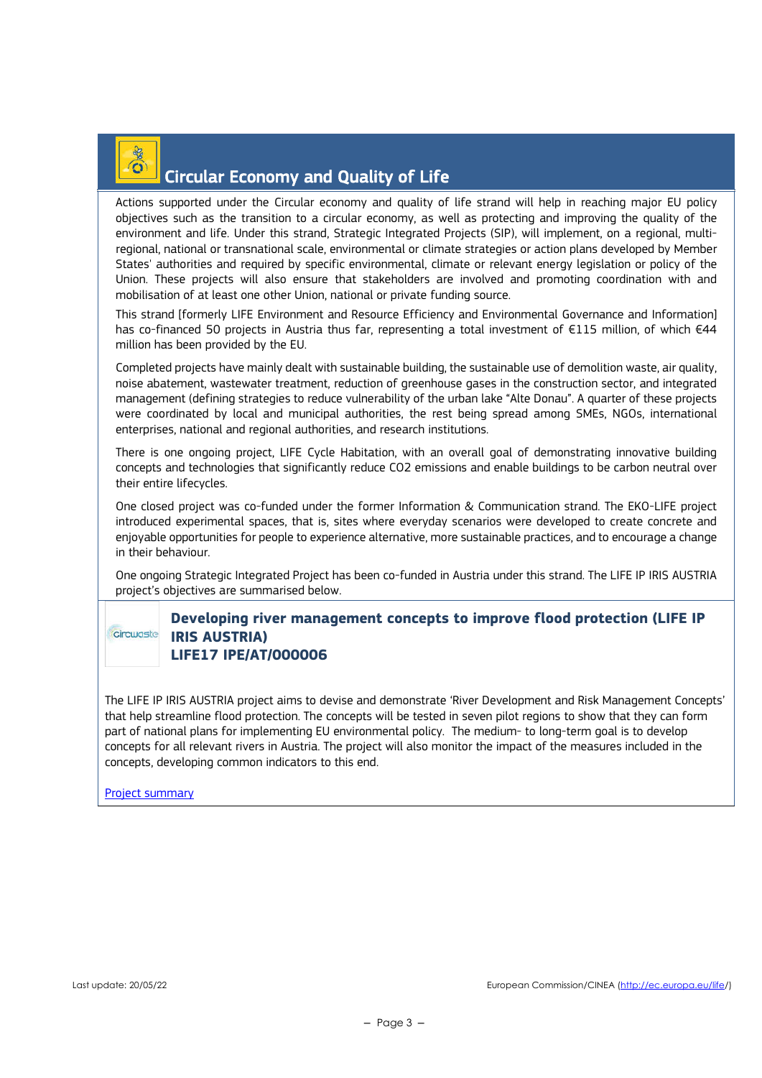

### Circular Economy and Quality of Life

Actions supported under the Circular economy and quality of life strand will help in reaching major EU policy objectives such as the transition to a circular economy, as well as protecting and improving the quality of the environment and life. Under this strand, Strategic Integrated Projects (SIP), will implement, on a regional, multiregional, national or transnational scale, environmental or climate strategies or action plans developed by Member States' authorities and required by specific environmental, climate or relevant energy legislation or policy of the Union. These projects will also ensure that stakeholders are involved and promoting coordination with and mobilisation of at least one other Union, national or private funding source.

This strand [formerly LIFE Environment and Resource Efficiency and Environmental Governance and Information] has co-financed 50 projects in Austria thus far, representing a total investment of €115 million, of which €44 million has been provided by the EU.

Completed projects have mainly dealt with sustainable building, the sustainable use of demolition waste, air quality, noise abatement, wastewater treatment, reduction of greenhouse gases in the construction sector, and integrated management (defining strategies to reduce vulnerability of the urban lake "Alte Donau". A quarter of these projects were coordinated by local and municipal authorities, the rest being spread among SMEs, NGOs, international enterprises, national and regional authorities, and research institutions.

There is one ongoing project, LIFE Cycle Habitation, with an overall goal of demonstrating innovative building concepts and technologies that significantly reduce CO2 emissions and enable buildings to be carbon neutral over their entire lifecycles.

One closed project was co-funded under the former Information & Communication strand. The EKO-LIFE project introduced experimental spaces, that is, sites where everyday scenarios were developed to create concrete and enjoyable opportunities for people to experience alternative, more sustainable practices, and to encourage a change in their behaviour.

One ongoing Strategic Integrated Project has been co-funded in Austria under this strand. The LIFE IP IRIS AUSTRIA project's objectives are summarised below.

### **Developing river management concepts to improve flood protection (LIFE IP IRIS AUSTRIA) LIFE17 IPE/AT/000006**

The LIFE IP IRIS AUSTRIA project aims to devise and demonstrate 'River Development and Risk Management Concepts' that help streamline flood protection. The concepts will be tested in seven pilot regions to show that they can form part of national plans for implementing EU environmental policy. The medium- to long-term goal is to develop concepts for all relevant rivers in Austria. The project will also monitor the impact of the measures included in the concepts, developing common indicators to this end.

#### Project summary

circulaste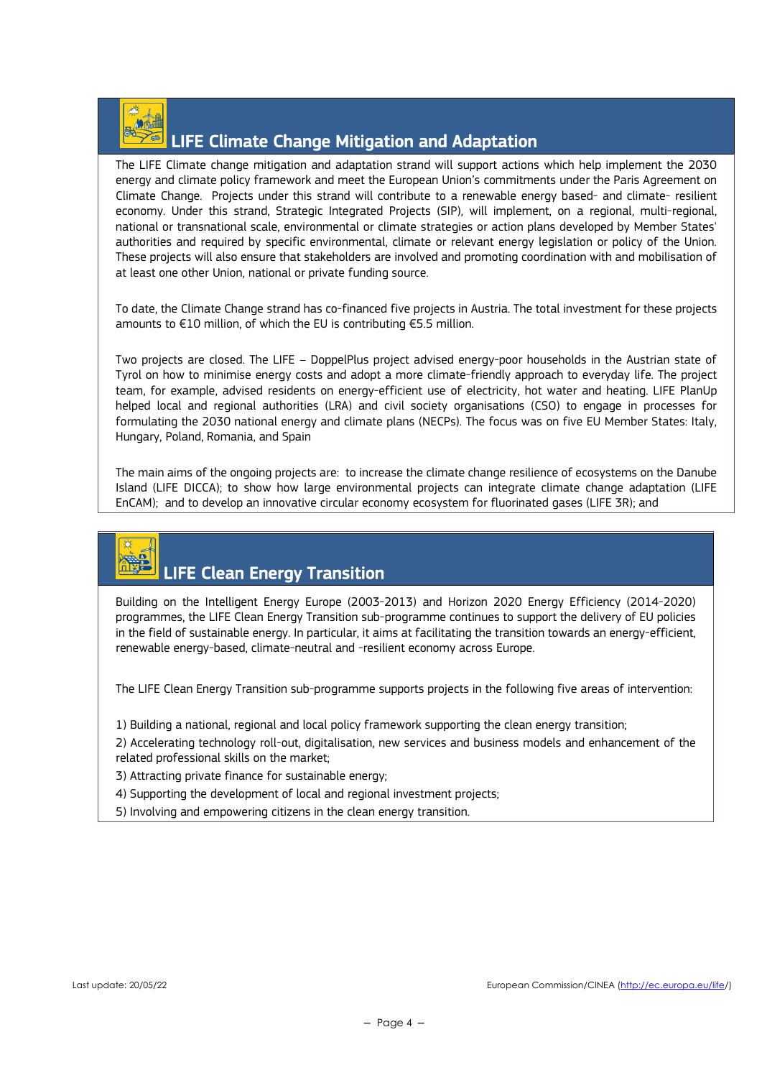

### LIFE Climate Change Mitigation and Adaptation

The LIFE Climate change mitigation and adaptation strand will support actions which help implement the 2030 energy and climate policy framework and meet the European Union's commitments under the Paris Agreement on Climate Change. Projects under this strand will contribute to a renewable energy based- and climate- resilient economy. Under this strand, Strategic Integrated Projects (SIP), will implement, on a regional, multi-regional, national or transnational scale, environmental or climate strategies or action plans developed by Member States' authorities and required by specific environmental, climate or relevant energy legislation or policy of the Union. These projects will also ensure that stakeholders are involved and promoting coordination with and mobilisation of at least one other Union, national or private funding source.

To date, the Climate Change strand has co-financed five projects in Austria. The total investment for these projects amounts to €10 million, of which the EU is contributing €5.5 million.

Two projects are closed. The LIFE – DoppelPlus project advised energy-poor households in the Austrian state of Tyrol on how to minimise energy costs and adopt a more climate-friendly approach to everyday life. The project team, for example, advised residents on energy-efficient use of electricity, hot water and heating. LIFE PlanUp helped local and regional authorities (LRA) and civil society organisations (CSO) to engage in processes for formulating the 2030 national energy and climate plans (NECPs). The focus was on five EU Member States: Italy, Hungary, Poland, Romania, and Spain

The main aims of the ongoing projects are: to increase the climate change resilience of ecosystems on the Danube Island (LIFE DICCA); to show how large environmental projects can integrate climate change adaptation (LIFE EnCAM); and to develop an innovative circular economy ecosystem for fluorinated gases (LIFE 3R); and

# LIFE Clean Energy Transition

Building on the Intelligent Energy Europe (2003-2013) and Horizon 2020 Energy Efficiency (2014-2020) programmes, the LIFE Clean Energy Transition sub-programme continues to support the delivery of EU policies in the field of sustainable energy. In particular, it aims at facilitating the transition towards an energy-efficient, renewable energy-based, climate-neutral and -resilient economy across Europe.

The LIFE Clean Energy Transition sub-programme supports projects in the following five areas of intervention:

1) Building a national, regional and local policy framework supporting the clean energy transition;

2) Accelerating technology roll-out, digitalisation, new services and business models and enhancement of the related professional skills on the market;

3) Attracting private finance for sustainable energy;

4) Supporting the development of local and regional investment projects;

5) Involving and empowering citizens in the clean energy transition.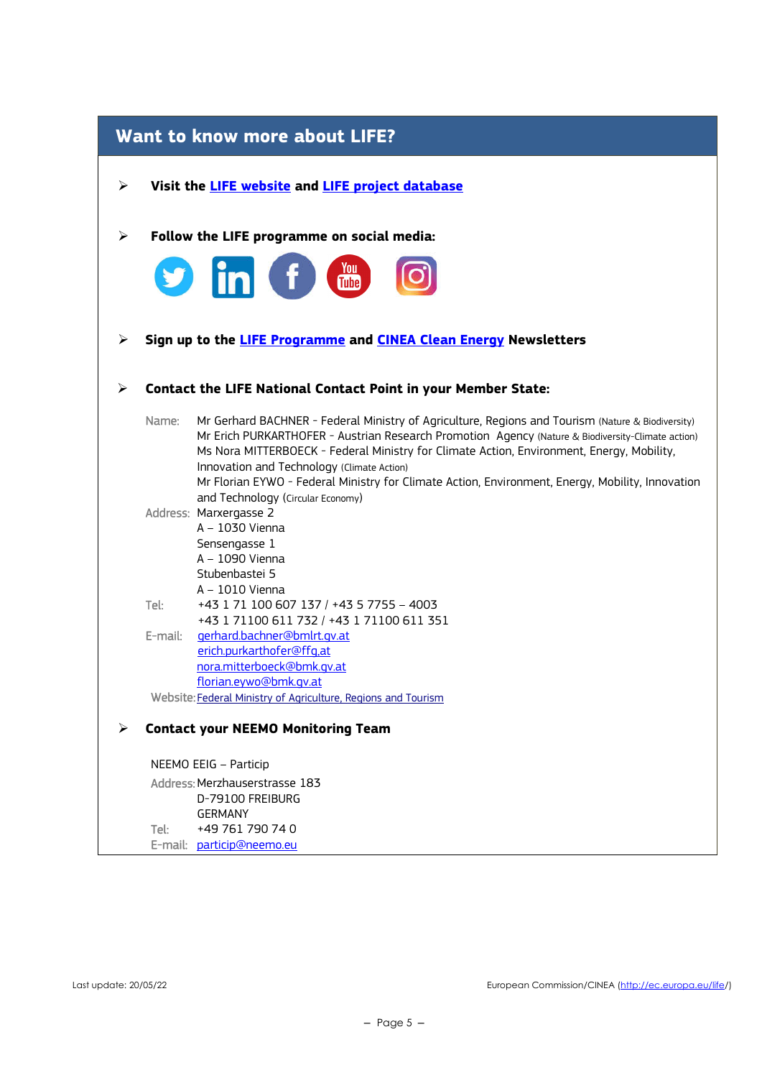| <b>Want to know more about LIFE?</b> |                                                                |                                                                                                                                                                                                                                                                                                                                                                                                                                                       |  |  |  |
|--------------------------------------|----------------------------------------------------------------|-------------------------------------------------------------------------------------------------------------------------------------------------------------------------------------------------------------------------------------------------------------------------------------------------------------------------------------------------------------------------------------------------------------------------------------------------------|--|--|--|
| ➤                                    | Visit the <b>LIFE</b> website and <b>LIFE</b> project database |                                                                                                                                                                                                                                                                                                                                                                                                                                                       |  |  |  |
| ➤                                    | Follow the LIFE programme on social media:                     |                                                                                                                                                                                                                                                                                                                                                                                                                                                       |  |  |  |
|                                      |                                                                | <b>S</b> in f a                                                                                                                                                                                                                                                                                                                                                                                                                                       |  |  |  |
|                                      |                                                                |                                                                                                                                                                                                                                                                                                                                                                                                                                                       |  |  |  |
| ➤                                    |                                                                | Sign up to the LIFE Programme and CINEA Clean Energy Newsletters                                                                                                                                                                                                                                                                                                                                                                                      |  |  |  |
| ➤                                    |                                                                | <b>Contact the LIFE National Contact Point in your Member State:</b>                                                                                                                                                                                                                                                                                                                                                                                  |  |  |  |
|                                      | Name:                                                          | Mr Gerhard BACHNER - Federal Ministry of Agriculture, Regions and Tourism (Nature & Biodiversity)<br>Mr Erich PURKARTHOFER - Austrian Research Promotion Agency (Nature & Biodiversity-Climate action)<br>Ms Nora MITTERBOECK - Federal Ministry for Climate Action, Environment, Energy, Mobility,<br>Innovation and Technology (Climate Action)<br>Mr Florian EYWO - Federal Ministry for Climate Action, Environment, Energy, Mobility, Innovation |  |  |  |
|                                      |                                                                | and Technology (Circular Economy)<br>Address: Marxergasse 2<br>A - 1030 Vienna<br>Sensengasse 1<br>A - 1090 Vienna<br>Stubenbastei 5                                                                                                                                                                                                                                                                                                                  |  |  |  |
|                                      | Tel:                                                           | A - 1010 Vienna<br>+43 1 71 100 607 137 / +43 5 7755 - 4003                                                                                                                                                                                                                                                                                                                                                                                           |  |  |  |
|                                      | E-mail:                                                        | +43 1 71100 611 732 / +43 1 71100 611 351<br>gerhard.bachner@bmlrt.gv.at<br>erich.purkarthofer@ffg.at<br>nora.mitterboeck@bmk.gv.at<br>florian.evwo@bmk.gv.at                                                                                                                                                                                                                                                                                         |  |  |  |
|                                      |                                                                | Website: Federal Ministry of Agriculture, Regions and Tourism                                                                                                                                                                                                                                                                                                                                                                                         |  |  |  |
|                                      |                                                                | <b>Contact your NEEMO Monitoring Team</b>                                                                                                                                                                                                                                                                                                                                                                                                             |  |  |  |
|                                      |                                                                | NEEMO EEIG - Particip                                                                                                                                                                                                                                                                                                                                                                                                                                 |  |  |  |
|                                      |                                                                | Address: Merzhauserstrasse 183<br>D-79100 FREIBURG<br><b>GERMANY</b>                                                                                                                                                                                                                                                                                                                                                                                  |  |  |  |
|                                      | Tel:                                                           | +49 761 790 74 0                                                                                                                                                                                                                                                                                                                                                                                                                                      |  |  |  |

E-mail: <u>particip@neemo.eu</u>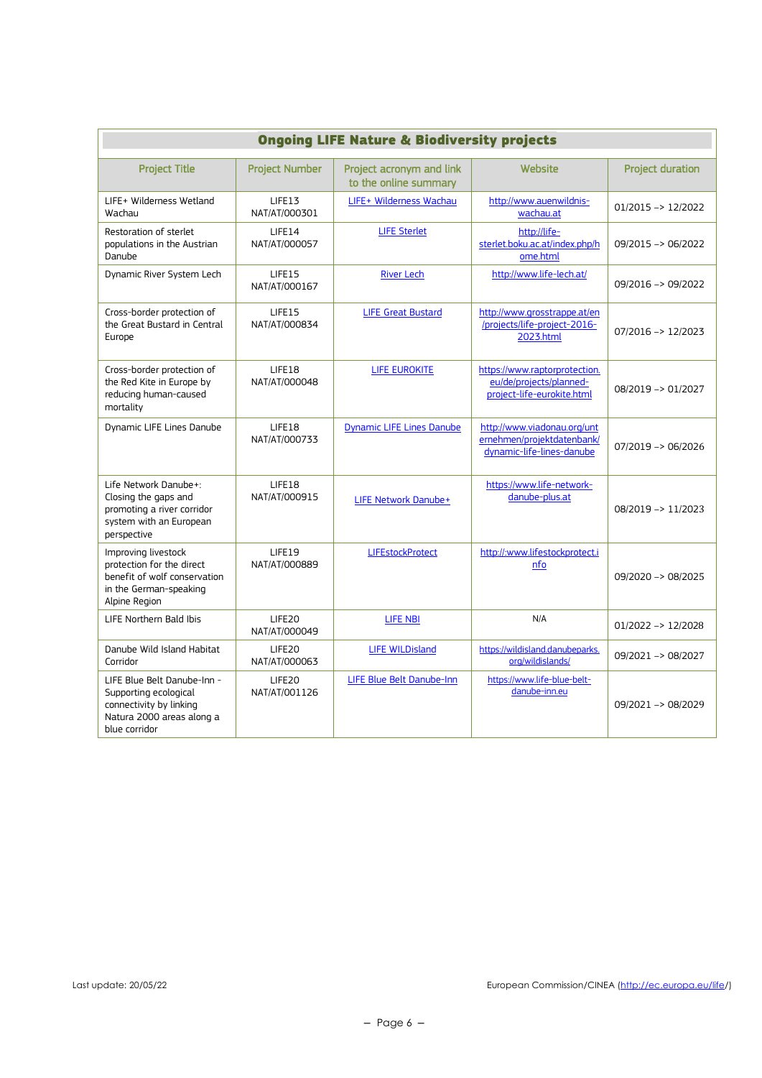| <b>Ongoing LIFE Nature &amp; Biodiversity projects</b>                                                                        |                                     |                                                   |                                                                                        |                               |
|-------------------------------------------------------------------------------------------------------------------------------|-------------------------------------|---------------------------------------------------|----------------------------------------------------------------------------------------|-------------------------------|
| <b>Project Title</b>                                                                                                          | <b>Project Number</b>               | Project acronym and link<br>to the online summary | Wehsite                                                                                | <b>Project duration</b>       |
| LIFE+ Wilderness Wetland<br>Wachau                                                                                            | LIFE13<br>NAT/AT/000301             | LIFE+ Wilderness Wachau                           | http://www.auenwildnis-<br>wachau.at                                                   | $01/2015 \rightarrow 12/2022$ |
| Restoration of sterlet<br>populations in the Austrian<br>Danube                                                               | LIFE14<br>NAT/AT/000057             | <b>LIFE Sterlet</b>                               | http://life-<br>sterlet.boku.ac.at/index.php/h<br>ome.html                             | 09/2015 -> 06/2022            |
| Dynamic River System Lech                                                                                                     | LIFE15<br>NAT/AT/000167             | <b>River Lech</b>                                 | http://www.life-lech.at/                                                               | 09/2016 -> 09/2022            |
| Cross-border protection of<br>the Great Bustard in Central<br>Europe                                                          | LIFE15<br>NAT/AT/000834             | <b>LIFE Great Bustard</b>                         | http://www.grosstrappe.at/en<br>/projects/life-project-2016-<br>2023.html              | 07/2016 -> 12/2023            |
| Cross-border protection of<br>the Red Kite in Europe by<br>reducing human-caused<br>mortality                                 | LIFE18<br>NAT/AT/000048             | <b>LIFE EUROKITE</b>                              | https://www.raptorprotection.<br>eu/de/projects/planned-<br>project-life-eurokite.html | 08/2019 -> 01/2027            |
| Dynamic LIFE Lines Danube                                                                                                     | LIFE18<br>NAT/AT/000733             | <b>Dynamic LIFE Lines Danube</b>                  | http://www.viadonau.org/unt<br>ernehmen/projektdatenbank/<br>dynamic-life-lines-danube | 07/2019 -> 06/2026            |
| Life Network Danube+:<br>Closing the gaps and<br>promoting a river corridor<br>system with an European<br>perspective         | LIFE18<br>NAT/AT/000915             | LIFE Network Danube+                              | https://www.life-network-<br>danube-plus.at                                            | 08/2019 -> 11/2023            |
| Improving livestock<br>protection for the direct<br>benefit of wolf conservation<br>in the German-speaking<br>Alpine Region   | LIFE19<br>NAT/AT/000889             | <b>LIFEstockProtect</b>                           | http://:www.lifestockprotect.i<br>nfo                                                  | $09/2020 \rightarrow 08/2025$ |
| LIFE Northern Bald Ibis                                                                                                       | LIFE <sub>20</sub><br>NAT/AT/000049 | <b>LIFE NBI</b>                                   | N/A                                                                                    | $01/2022 \rightarrow 12/2028$ |
| Danube Wild Island Habitat<br>Corridor                                                                                        | LIFE20<br>NAT/AT/000063             | <b>LIFE WILDisland</b>                            | https://wildisland.danubeparks.<br>org/wildislands/                                    | 09/2021 -> 08/2027            |
| LIFE Blue Belt Danube-Inn -<br>Supporting ecological<br>connectivity by linking<br>Natura 2000 areas along a<br>blue corridor | LIFE20<br>NAT/AT/001126             | LIFE Blue Belt Danube-Inn                         | https://www.life-blue-belt-<br>danube-inn.eu                                           | 09/2021 -> 08/2029            |